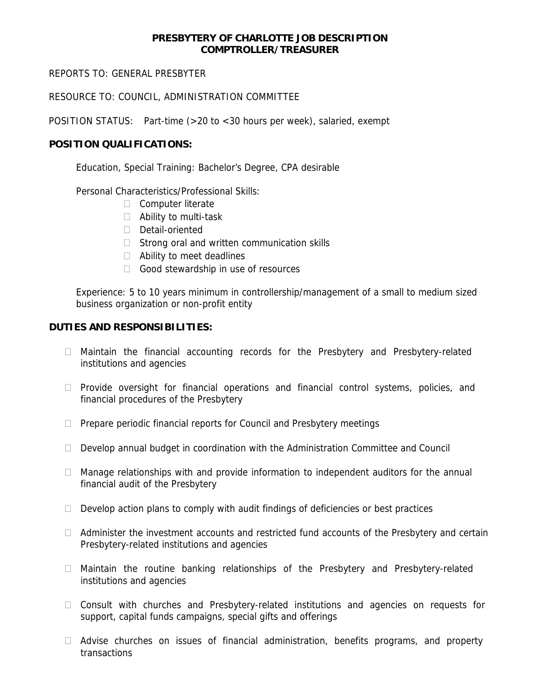## **PRESBYTERY OF CHARLOTTE JOB DESCRIPTION COMPTROLLER/TREASURER**

REPORTS TO: GENERAL PRESBYTER

RESOURCE TO: COUNCIL, ADMINISTRATION COMMITTEE

POSITION STATUS: Part-time (>20 to <30 hours per week), salaried, exempt

## **POSITION QUALIFICATIONS:**

Education, Special Training: Bachelor's Degree, CPA desirable

Personal Characteristics/Professional Skills:

- Computer literate
- □ Ability to multi-task
- Detail-oriented
- $\Box$  Strong oral and written communication skills
- □ Ability to meet deadlines
- Good stewardship in use of resources

Experience: 5 to 10 years minimum in controllership/management of a small to medium sized business organization or non-profit entity

## **DUTIES AND RESPONSIBILITIES:**

- Maintain the financial accounting records for the Presbytery and Presbytery-related institutions and agencies
- □ Provide oversight for financial operations and financial control systems, policies, and financial procedures of the Presbytery
- $\Box$  Prepare periodic financial reports for Council and Presbytery meetings
- $\Box$  Develop annual budget in coordination with the Administration Committee and Council
- $\Box$  Manage relationships with and provide information to independent auditors for the annual financial audit of the Presbytery
- $\Box$  Develop action plans to comply with audit findings of deficiencies or best practices
- $\Box$  Administer the investment accounts and restricted fund accounts of the Presbytery and certain Presbytery-related institutions and agencies
- $\Box$  Maintain the routine banking relationships of the Presbytery and Presbytery-related institutions and agencies
- □ Consult with churches and Presbytery-related institutions and agencies on requests for support, capital funds campaigns, special gifts and offerings
- $\Box$  Advise churches on issues of financial administration, benefits programs, and property transactions